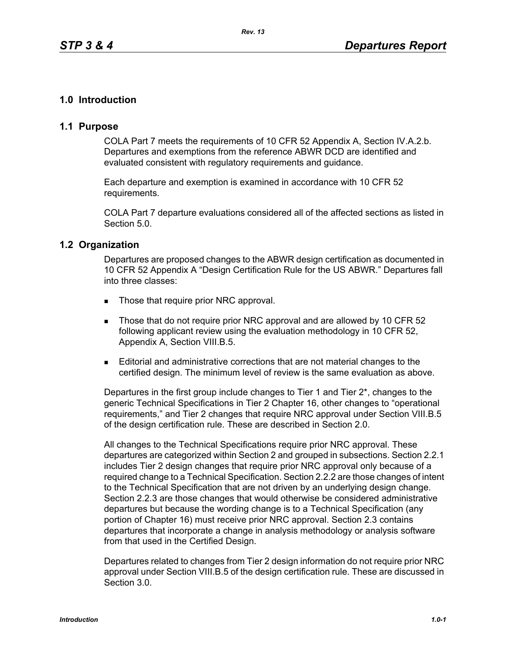# **1.0 Introduction**

### **1.1 Purpose**

COLA Part 7 meets the requirements of 10 CFR 52 Appendix A, Section IV.A.2.b. Departures and exemptions from the reference ABWR DCD are identified and evaluated consistent with regulatory requirements and guidance.

Each departure and exemption is examined in accordance with 10 CFR 52 requirements.

COLA Part 7 departure evaluations considered all of the affected sections as listed in Section 5.0.

#### **1.2 Organization**

Departures are proposed changes to the ABWR design certification as documented in 10 CFR 52 Appendix A "Design Certification Rule for the US ABWR." Departures fall into three classes:

- Those that require prior NRC approval.
- Those that do not require prior NRC approval and are allowed by 10 CFR 52 following applicant review using the evaluation methodology in 10 CFR 52, Appendix A, Section VIII.B.5.
- Editorial and administrative corrections that are not material changes to the certified design. The minimum level of review is the same evaluation as above.

Departures in the first group include changes to Tier 1 and Tier 2\*, changes to the generic Technical Specifications in Tier 2 Chapter 16, other changes to "operational requirements," and Tier 2 changes that require NRC approval under Section VIII.B.5 of the design certification rule. These are described in Section 2.0.

All changes to the Technical Specifications require prior NRC approval. These departures are categorized within Section 2 and grouped in subsections. Section 2.2.1 includes Tier 2 design changes that require prior NRC approval only because of a required change to a Technical Specification. Section 2.2.2 are those changes of intent to the Technical Specification that are not driven by an underlying design change. Section 2.2.3 are those changes that would otherwise be considered administrative departures but because the wording change is to a Technical Specification (any portion of Chapter 16) must receive prior NRC approval. Section 2.3 contains departures that incorporate a change in analysis methodology or analysis software from that used in the Certified Design.

Departures related to changes from Tier 2 design information do not require prior NRC approval under Section VIII.B.5 of the design certification rule. These are discussed in Section 3.0.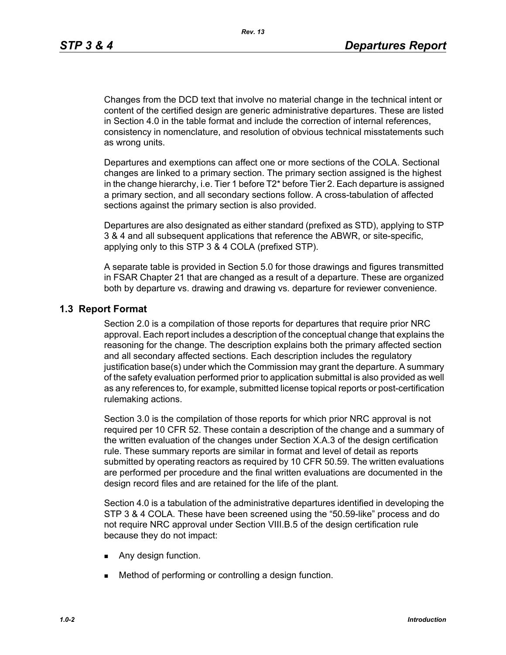Changes from the DCD text that involve no material change in the technical intent or content of the certified design are generic administrative departures. These are listed in Section 4.0 in the table format and include the correction of internal references, consistency in nomenclature, and resolution of obvious technical misstatements such as wrong units.

Departures and exemptions can affect one or more sections of the COLA. Sectional changes are linked to a primary section. The primary section assigned is the highest in the change hierarchy, i.e. Tier 1 before T2\* before Tier 2. Each departure is assigned a primary section, and all secondary sections follow. A cross-tabulation of affected sections against the primary section is also provided.

Departures are also designated as either standard (prefixed as STD), applying to STP 3 & 4 and all subsequent applications that reference the ABWR, or site-specific, applying only to this STP 3 & 4 COLA (prefixed STP).

A separate table is provided in Section 5.0 for those drawings and figures transmitted in FSAR Chapter 21 that are changed as a result of a departure. These are organized both by departure vs. drawing and drawing vs. departure for reviewer convenience.

## **1.3 Report Format**

Section 2.0 is a compilation of those reports for departures that require prior NRC approval. Each report includes a description of the conceptual change that explains the reasoning for the change. The description explains both the primary affected section and all secondary affected sections. Each description includes the regulatory justification base(s) under which the Commission may grant the departure. A summary of the safety evaluation performed prior to application submittal is also provided as well as any references to, for example, submitted license topical reports or post-certification rulemaking actions.

Section 3.0 is the compilation of those reports for which prior NRC approval is not required per 10 CFR 52. These contain a description of the change and a summary of the written evaluation of the changes under Section X.A.3 of the design certification rule. These summary reports are similar in format and level of detail as reports submitted by operating reactors as required by 10 CFR 50.59. The written evaluations are performed per procedure and the final written evaluations are documented in the design record files and are retained for the life of the plant*.*

Section 4.0 is a tabulation of the administrative departures identified in developing the STP 3 & 4 COLA. These have been screened using the "50.59-like" process and do not require NRC approval under Section VIII.B.5 of the design certification rule because they do not impact:

- **Any design function.**
- **Method of performing or controlling a design function.**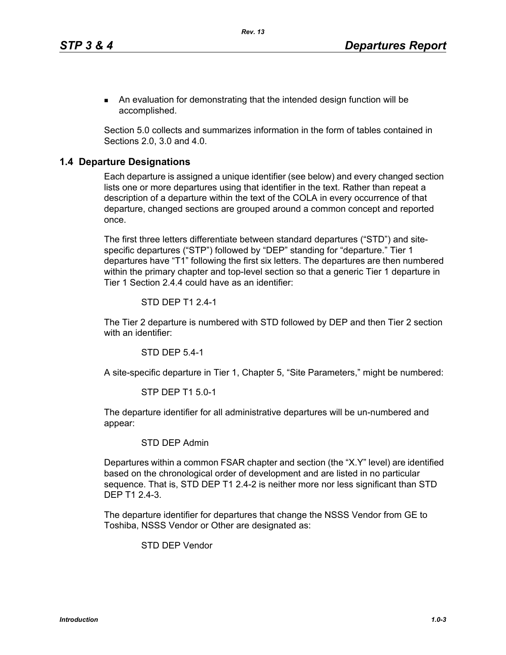An evaluation for demonstrating that the intended design function will be accomplished.

Section 5.0 collects and summarizes information in the form of tables contained in Sections 2.0, 3.0 and 4.0.

### **1.4 Departure Designations**

Each departure is assigned a unique identifier (see below) and every changed section lists one or more departures using that identifier in the text. Rather than repeat a description of a departure within the text of the COLA in every occurrence of that departure, changed sections are grouped around a common concept and reported once.

The first three letters differentiate between standard departures ("STD") and sitespecific departures ("STP") followed by "DEP" standing for "departure." Tier 1 departures have "T1" following the first six letters. The departures are then numbered within the primary chapter and top-level section so that a generic Tier 1 departure in Tier 1 Section 2.4.4 could have as an identifier:

#### STD DEP T1 2.4-1

The Tier 2 departure is numbered with STD followed by DEP and then Tier 2 section with an identifier:

STD DEP 5.4-1

A site-specific departure in Tier 1, Chapter 5, "Site Parameters," might be numbered:

#### STP DEP T1 5.0-1

The departure identifier for all administrative departures will be un-numbered and appear:

## STD DEP Admin

Departures within a common FSAR chapter and section (the "X.Y" level) are identified based on the chronological order of development and are listed in no particular sequence. That is, STD DEP T1 2.4-2 is neither more nor less significant than STD DEP T1 2.4-3.

The departure identifier for departures that change the NSSS Vendor from GE to Toshiba, NSSS Vendor or Other are designated as:

STD DEP Vendor